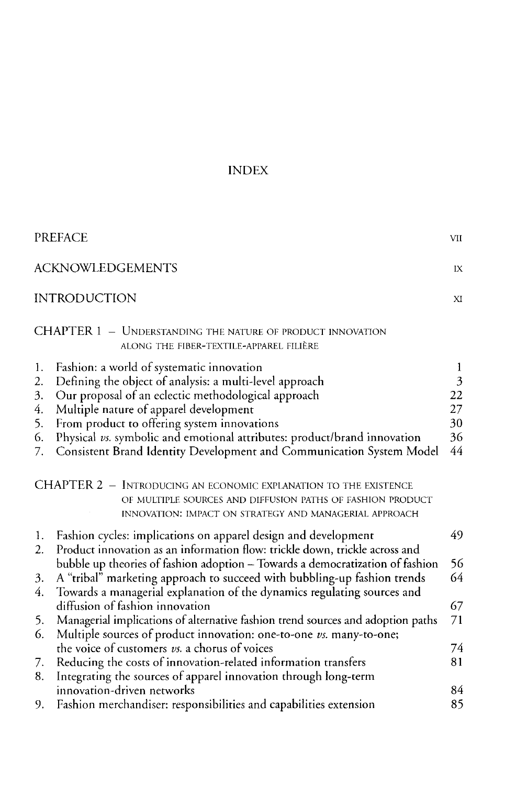## INDEX

|                                        | <b>PREFACE</b>                                                                                                                                                                                                                                                                                                                                                                                           | VII                                  |
|----------------------------------------|----------------------------------------------------------------------------------------------------------------------------------------------------------------------------------------------------------------------------------------------------------------------------------------------------------------------------------------------------------------------------------------------------------|--------------------------------------|
| <b>ACKNOWLEDGEMENTS</b><br>IX          |                                                                                                                                                                                                                                                                                                                                                                                                          |                                      |
|                                        | <b>INTRODUCTION</b>                                                                                                                                                                                                                                                                                                                                                                                      |                                      |
|                                        | CHAPTER 1 - UNDERSTANDING THE NATURE OF PRODUCT INNOVATION<br>ALONG THE FIBER-TEXTILE-APPAREL FILIÈRE                                                                                                                                                                                                                                                                                                    |                                      |
| 1.<br>2.<br>3.<br>4.<br>5.<br>6.<br>7. | Fashion: a world of systematic innovation<br>Defining the object of analysis: a multi-level approach<br>Our proposal of an eclectic methodological approach<br>Multiple nature of apparel development<br>From product to offering system innovations<br>Physical vs. symbolic and emotional attributes: product/brand innovation<br>Consistent Brand Identity Development and Communication System Model | 1<br>3<br>22<br>27<br>30<br>36<br>44 |
|                                        | CHAPTER 2 - INTRODUCING AN ECONOMIC EXPLANATION TO THE EXISTENCE<br>OF MULTIPLE SOURCES AND DIFFUSION PATHS OF FASHION PRODUCT<br>INNOVATION: IMPACT ON STRATEGY AND MANAGERIAL APPROACH                                                                                                                                                                                                                 |                                      |
| 1.                                     | Fashion cycles: implications on apparel design and development                                                                                                                                                                                                                                                                                                                                           | 49                                   |
| $\overline{2}$ .<br>3.<br>4.           | Product innovation as an information flow: trickle down, trickle across and<br>bubble up theories of fashion adoption - Towards a democratization of fashion<br>A "tribal" marketing approach to succeed with bubbling-up fashion trends<br>Towards a managerial explanation of the dynamics regulating sources and                                                                                      | 56<br>64                             |
| 5.<br>6.                               | diffusion of fashion innovation<br>Managerial implications of alternative fashion trend sources and adoption paths<br>Multiple sources of product innovation: one-to-one vs. many-to-one;                                                                                                                                                                                                                | 67<br>71                             |
| 7.<br>8.                               | the voice of customers vs. a chorus of voices<br>Reducing the costs of innovation-related information transfers<br>Integrating the sources of apparel innovation through long-term                                                                                                                                                                                                                       | 74<br>81                             |
| 9.                                     | innovation-driven networks<br>Fashion merchandiser: responsibilities and capabilities extension                                                                                                                                                                                                                                                                                                          | 84<br>85                             |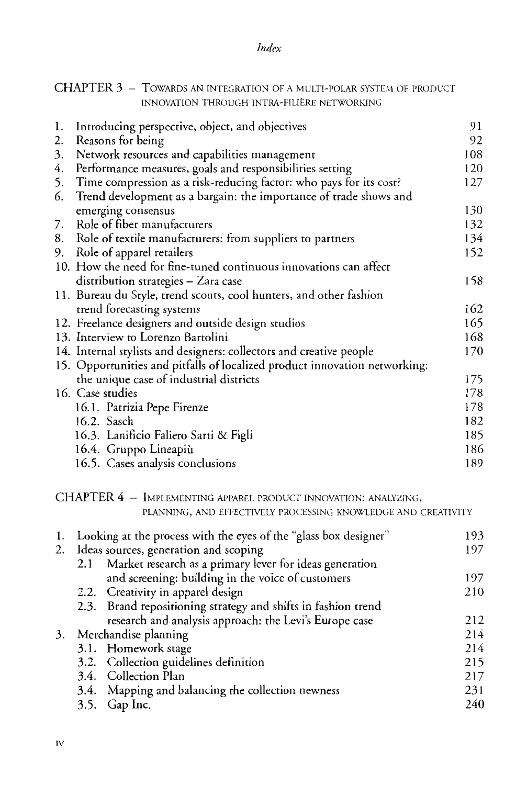## *Index*

|    | CLIAL LER $J = 10$ wards an integration of a multi-polar system of product<br>INNOVATION THROUGH INTRA-FILIÈRE NETWORKING |     |
|----|---------------------------------------------------------------------------------------------------------------------------|-----|
| 1. | Introducing perspective, object, and objectives                                                                           | 91  |
| 2. | Reasons for being                                                                                                         | 92  |
| 3. | Network resources and capabilities management                                                                             | 108 |
| 4. | Performance measures, goals and responsibilities setting                                                                  | 120 |
| 5. | Time compression as a risk-reducing factor: who pays for its cost?                                                        | 127 |
| 6. | Trend development as a bargain: the importance of trade shows and                                                         |     |
|    | emerging consensus                                                                                                        | 130 |
| 7. | Role of fiber manufacturers                                                                                               | 132 |
| 8. | Role of textile manufacturers: from suppliers to partners                                                                 | 134 |
| 9. | Role of apparel retailers                                                                                                 | 152 |
|    | 10. How the need for fine-tuned continuous innovations can affect                                                         |     |
|    | distribution strategies - Zara case                                                                                       | 158 |
|    | 11. Bureau du Style, trend scouts, cool hunters, and other fashion                                                        |     |
|    | trend forecasting systems                                                                                                 | 162 |
|    | 12. Freelance designers and outside design studios                                                                        | 165 |
|    | 13. Interview to Lorenzo Bartolini                                                                                        | 168 |
|    | 14. Internal stylists and designers: collectors and creative people                                                       | 170 |
|    | 15. Opportunities and pitfalls of localized product innovation networking:                                                |     |
|    | the unique case of industrial districts                                                                                   | 175 |
|    | 16. Case studies                                                                                                          | 178 |
|    | 16.1. Patrizia Pepe Firenze                                                                                               | 178 |
|    | 16.2. Sasch                                                                                                               | 182 |
|    | 16.3. Lanificio Faliero Sarti & Figli                                                                                     | 185 |
|    | 16.4. Gruppo Lineapiù                                                                                                     | 186 |
|    | 16.5. Cases analysis conclusions                                                                                          | 189 |
|    | CHAPTER 4 - IMPLEMENTING APPAREL PRODUCT INNOVATION: ANALYZING,                                                           |     |
|    | PLANNING, AND EFFECTIVELY PROCESSING KNOWLEDGE AND CREATIVITY                                                             |     |
|    | 1. Looking at the process with the eyes of the "glass box designer"                                                       | 193 |
| 2. | Ideas sources, generation and scoping                                                                                     | 197 |
|    | 2.1<br>Market research as a primary lever for ideas generation                                                            |     |
|    | and screening: building in the voice of customers                                                                         | 197 |
|    | Creativity in apparel design<br>2.2.                                                                                      | 210 |

## CHAPTER 3 TOWARDS AN INTEGRATION OF A MULTI-POLAR SYSTEM OF PRODUCT

2.2. Creativity in apparel design 2.3. Brand repositioning strategy and shifts in fashion trend research and analysis approach: the Levi's Europe case

## 3. Merchandise planning

| $\ldots$                                          |
|---------------------------------------------------|
| 3.1. Homework stage                               |
| 3.2. Collection guidelines definition             |
| 3.4. Collection Plan                              |
| 3.4. Mapping and balancing the collection newness |
| 3.5. Gap Inc.                                     |